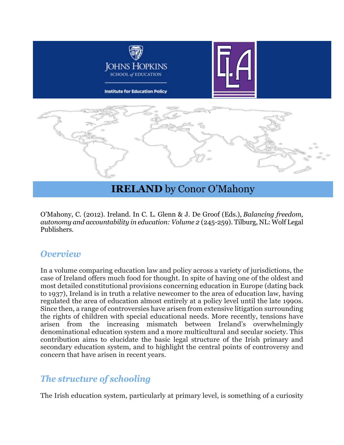

# **IRELAND** by Conor O'Mahony

O'Mahony, C. (2012). Ireland. In C. L. Glenn & J. De Groof (Eds.), *Balancing freedom, autonomy and accountability in education: Volume 2* (245-259). Tilburg, NL: Wolf Legal Publishers.

#### *Overview*

In a volume comparing education law and policy across a variety of jurisdictions, the case of Ireland offers much food for thought. In spite of having one of the oldest and most detailed constitutional provisions concerning education in Europe (dating back to 1937), Ireland is in truth a relative newcomer to the area of education law, having regulated the area of education almost entirely at a policy level until the late 1990s. Since then, a range of controversies have arisen from extensive litigation surrounding the rights of children with special educational needs. More recently, tensions have arisen from the increasing mismatch between Ireland's overwhelmingly denominational education system and a more multicultural and secular society. This contribution aims to elucidate the basic legal structure of the Irish primary and secondary education system, and to highlight the central points of controversy and concern that have arisen in recent years.

# *The structure of schooling*

The Irish education system, particularly at primary level, is something of a curiosity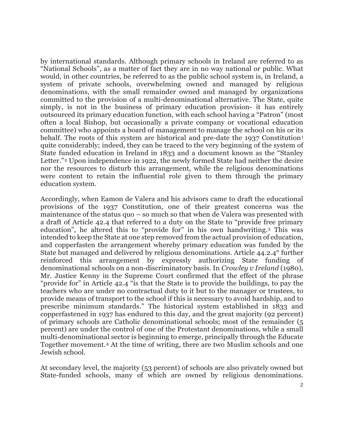by international standards. Although primary schools in Ireland are referred to as "National Schools", as a matter of fact they are in no way national or public. What would, in other countries, be referred to as the public school system is, in Ireland, a system of private schools, overwhelming owned and managed by religious denominations, with the small remainder owned and managed by organizations committed to the provision of a multi-denominational alternative. The State, quite simply, is not in the business of primary education provision- it has entirely outsourced its primary education function, with each school having a "Patron" (most often a local Bishop, but occasionally a private company or vocational education committee) who appoints a board of management to manage the school on his or its behalf. The roots of this system are historical and pre-date the [1](#page-16-0)937 Constitution<sup>1</sup> quite considerably; indeed, they can be traced to the very beginning of the system of State funded education in Ireland in 1833 and a document known as the "Stanley Letter."<sup>[2](#page-16-1)</sup> Upon independence in 1922, the newly formed State had neither the desire nor the resources to disturb this arrangement, while the religious denominations were content to retain the influential role given to them through the primary education system.

Accordingly, when Eamon de Valera and his advisors came to draft the educational provisions of the 1937 Constitution, one of their greatest concerns was the maintenance of the status quo – so much so that when de Valera was presented with a draft of Article 42.4 that referred to a duty on the State to "provide free primary education", he altered this to "provide for" in his own handwriting.[3](#page-16-2) This was intended to keep the State at one step removed from the actual provision of education, and copperfasten the arrangement whereby primary education was funded by the State but managed and delivered by religious denominations. Article 44.2.4° further reinforced this arrangement by expressly authorizing State funding of denominational schools on a non-discriminatory basis. In *Crowley v Ireland* (1980), Mr. Justice Kenny in the Supreme Court confirmed that the effect of the phrase "provide for" in Article 42.4 "is that the State is to provide the buildings, to pay the teachers who are under no contractual duty to it but to the manager or trustees, to provide means of transport to the school if this is necessary to avoid hardship, and to prescribe minimum standards." The historical system established in 1833 and copperfastened in 1937 has endured to this day, and the great majority (92 percent) of primary schools are Catholic denominational schools; most of the remainder (5 percent) are under the control of one of the Protestant denominations, while a small multi-denominational sector is beginning to emerge, principally through the Educate Together movement.[4](#page-16-3) At the time of writing, there are two Muslim schools and one Jewish school.

At secondary level, the majority (53 percent) of schools are also privately owned but State-funded schools, many of which are owned by religious denominations.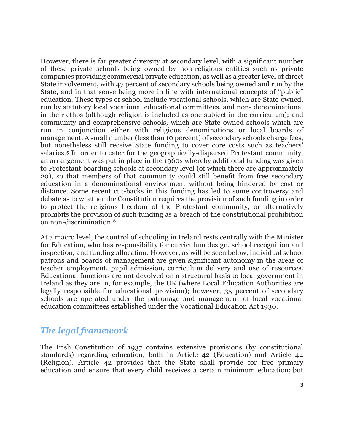However, there is far greater diversity at secondary level, with a significant number of these private schools being owned by non-religious entities such as private companies providing commercial private education, as well as a greater level of direct State involvement, with 47 percent of secondary schools being owned and run by the State, and in that sense being more in line with international concepts of "public" education. These types of school include vocational schools, which are State owned, run by statutory local vocational educational committees, and non- denominational in their ethos (although religion is included as one subject in the curriculum); and community and comprehensive schools, which are State-owned schools which are run in conjunction either with religious denominations or local boards of management. A small number (less than 10 percent) of secondary schools charge fees, but nonetheless still receive State funding to cover core costs such as teachers' salaries.[5](#page-16-4) In order to cater for the geographically-dispersed Protestant community, an arrangement was put in place in the 1960s whereby additional funding was given to Protestant boarding schools at secondary level (of which there are approximately 20), so that members of that community could still benefit from free secondary education in a denominational environment without being hindered by cost or distance. Some recent cut-backs in this funding has led to some controversy and debate as to whether the Constitution requires the provision of such funding in order to protect the religious freedom of the Protestant community, or alternatively prohibits the provision of such funding as a breach of the constitutional prohibition on non-discrimination.[6](#page-16-5)

At a macro level, the control of schooling in Ireland rests centrally with the Minister for Education, who has responsibility for curriculum design, school recognition and inspection, and funding allocation. However, as will be seen below, individual school patrons and boards of management are given significant autonomy in the areas of teacher employment, pupil admission, curriculum delivery and use of resources. Educational functions are not devolved on a structural basis to local government in Ireland as they are in, for example, the UK (where Local Education Authorities are legally responsible for educational provision); however, 35 percent of secondary schools are operated under the patronage and management of local vocational education committees established under the Vocational Education Act 1930.

#### *The legal framework*

The Irish Constitution of 1937 contains extensive provisions (by constitutional standards) regarding education, both in Article 42 (Education) and Article 44 (Religion). Article 42 provides that the State shall provide for free primary education and ensure that every child receives a certain minimum education; but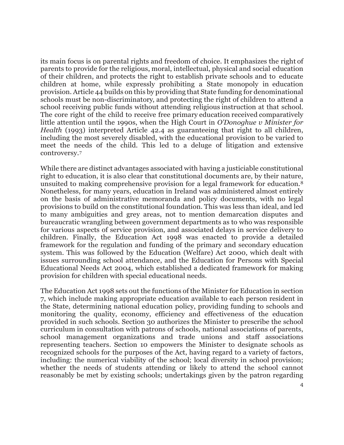its main focus is on parental rights and freedom of choice. It emphasizes the right of parents to provide for the religious, moral, intellectual, physical and social education of their children, and protects the right to establish private schools and to educate children at home, while expressly prohibiting a State monopoly in education provision. Article 44 builds on this by providing that State funding for denominational schools must be non-discriminatory, and protecting the right of children to attend a school receiving public funds without attending religious instruction at that school. The core right of the child to receive free primary education received comparatively little attention until the 1990s, when the High Court in *O'Donoghue v Minister for Health* (1993) interpreted Article 42.4 as guaranteeing that right to all children, including the most severely disabled, with the educational provision to be varied to meet the needs of the child. This led to a deluge of litigation and extensive controversy.[7](#page-16-6)

While there are distinct advantages associated with having a justiciable constitutional right to education, it is also clear that constitutional documents are, by their nature, unsuited to making comprehensive provision for a legal framework for education.[8](#page-16-7) Nonetheless, for many years, education in Ireland was administered almost entirely on the basis of administrative memoranda and policy documents, with no legal provisions to build on the constitutional foundation. This was less than ideal, and led to many ambiguities and grey areas, not to mention demarcation disputes and bureaucratic wrangling between government departments as to who was responsible for various aspects of service provision, and associated delays in service delivery to children. Finally, the Education Act 1998 was enacted to provide a detailed framework for the regulation and funding of the primary and secondary education system. This was followed by the Education (Welfare) Act 2000, which dealt with issues surrounding school attendance, and the Education for Persons with Special Educational Needs Act 2004, which established a dedicated framework for making provision for children with special educational needs.

The Education Act 1998 sets out the functions of the Minister for Education in section 7, which include making appropriate education available to each person resident in the State, determining national education policy, providing funding to schools and monitoring the quality, economy, efficiency and effectiveness of the education provided in such schools. Section 30 authorizes the Minister to prescribe the school curriculum in consultation with patrons of schools, national associations of parents, school management organizations and trade unions and staff associations representing teachers. Section 10 empowers the Minister to designate schools as recognized schools for the purposes of the Act, having regard to a variety of factors, including: the numerical viability of the school; local diversity in school provision; whether the needs of students attending or likely to attend the school cannot reasonably be met by existing schools; undertakings given by the patron regarding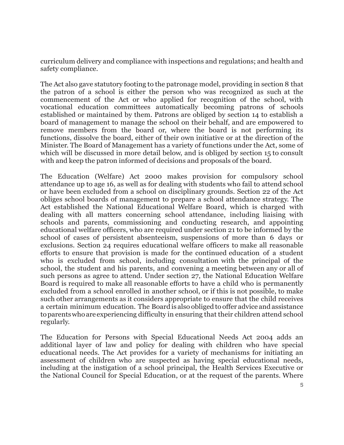curriculum delivery and compliance with inspections and regulations; and health and safety compliance.

The Act also gave statutory footing to the patronage model, providing in section 8 that the patron of a school is either the person who was recognized as such at the commencement of the Act or who applied for recognition of the school, with vocational education committees automatically becoming patrons of schools established or maintained by them. Patrons are obliged by section 14 to establish a board of management to manage the school on their behalf, and are empowered to remove members from the board or, where the board is not performing its functions, dissolve the board, either of their own initiative or at the direction of the Minister. The Board of Management has a variety of functions under the Act, some of which will be discussed in more detail below, and is obliged by section 15 to consult with and keep the patron informed of decisions and proposals of the board.

The Education (Welfare) Act 2000 makes provision for compulsory school attendance up to age 16, as well as for dealing with students who fail to attend school or have been excluded from a school on disciplinary grounds. Section 22 of the Act obliges school boards of management to prepare a school attendance strategy. The Act established the National Educational Welfare Board, which is charged with dealing with all matters concerning school attendance, including liaising with schools and parents, commissioning and conducting research, and appointing educational welfare officers, who are required under section 21 to be informed by the school of cases of persistent absenteeism, suspensions of more than 6 days or exclusions. Section 24 requires educational welfare officers to make all reasonable efforts to ensure that provision is made for the continued education of a student who is excluded from school, including consultation with the principal of the school, the student and his parents, and convening a meeting between any or all of such persons as agree to attend. Under section 27, the National Education Welfare Board is required to make all reasonable efforts to have a child who is permanently excluded from a school enrolled in another school, or if this is not possible, to make such other arrangements as it considers appropriate to ensure that the child receives a certain minimum education. The Boardis also obliged to offer advice andassistance toparentswhoareexperiencing difficulty in ensuring that their children attend school regularly.

The Education for Persons with Special Educational Needs Act 2004 adds an additional layer of law and policy for dealing with children who have special educational needs. The Act provides for a variety of mechanisms for initiating an assessment of children who are suspected as having special educational needs, including at the instigation of a school principal, the Health Services Executive or the National Council for Special Education, or at the request of the parents. Where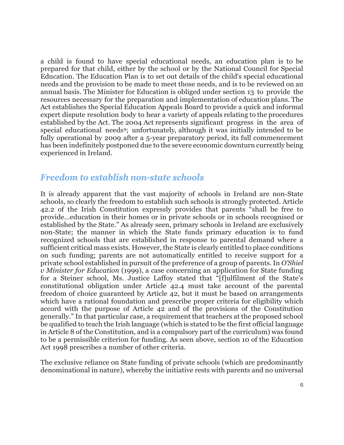a child is found to have special educational needs, an education plan is to be prepared for that child, either by the school or by the National Council for Special Education. The Education Plan is to set out details of the child's special educational needs and the provision to be made to meet those needs, and is to be reviewed on an annual basis. The Minister for Education is obliged under section 13 to provide the resources necessary for the preparation and implementation of education plans. The Act establishes the Special Education Appeals Board to provide a quick and informal expert dispute resolution body to hear a variety of appeals relating to the procedures established by the Act. The 2004 Act represents significant progress in the area of special educational needs[9;](#page-16-8) unfortunately, although it was initially intended to be fully operational by 2009 after a 5-year preparatory period, its full commencement has been indefinitely postponed due to the severe economic downturn currently being experienced in Ireland.

#### *Freedom to establish non-state schools*

It is already apparent that the vast majority of schools in Ireland are non-State schools, so clearly the freedom to establish such schools is strongly protected. Article 42.2 of the Irish Constitution expressly provides that parents "shall be free to provide…education in their homes or in private schools or in schools recognised or established by the State." As already seen, primary schools in Ireland are exclusively non-State; the manner in which the State funds primary education is to fund recognized schools that are established in response to parental demand where a sufficient critical mass exists. However, the State is clearly entitled to place conditions on such funding; parents are not automatically entitled to receive support for a private school established in pursuit of the preference of a group of parents. In *O'Shiel v Minister for Education* (1999), a case concerning an application for State funding for a Steiner school, Ms. Justice Laffoy stated that "[f]ulfilment of the State's constitutional obligation under Article 42.4 must take account of the parental freedom of choice guaranteed by Article 42, but it must be based on arrangements which have a rational foundation and prescribe proper criteria for eligibility which accord with the purpose of Article 42 and of the provisions of the Constitution generally." In that particular case, a requirement that teachers at the proposed school be qualified to teach the Irish language (which is stated to be the first official language in Article 8 of the Constitution, and is a compulsory part of the curriculum) was found to be a permissible criterion for funding. As seen above, section 10 of the Education Act 1998 prescribes a number of other criteria.

The exclusive reliance on State funding of private schools (which are predominantly denominational in nature), whereby the initiative rests with parents and no universal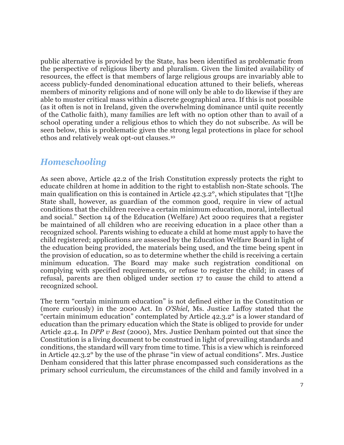public alternative is provided by the State, has been identified as problematic from the perspective of religious liberty and pluralism. Given the limited availability of resources, the effect is that members of large religious groups are invariably able to access publicly-funded denominational education attuned to their beliefs, whereas members of minority religions and of none will only be able to do likewise if they are able to muster critical mass within a discrete geographical area. If this is not possible (as it often is not in Ireland, given the overwhelming dominance until quite recently of the Catholic faith), many families are left with no option other than to avail of a school operating under a religious ethos to which they do not subscribe. As will be seen below, this is problematic given the strong legal protections in place for school ethos and relatively weak opt-out clauses.[10](#page-16-9)

#### *Homeschooling*

As seen above, Article 42.2 of the Irish Constitution expressly protects the right to educate children at home in addition to the right to establish non-State schools. The main qualification on this is contained in Article 42.3.2°, which stipulates that "[t]he State shall, however, as guardian of the common good, require in view of actual conditions that the children receive a certain minimum education, moral, intellectual and social." Section 14 of the Education (Welfare) Act 2000 requires that a register be maintained of all children who are receiving education in a place other than a recognized school. Parents wishing to educate a child at home must apply to have the child registered; applications are assessed by the Education Welfare Board in light of the education being provided, the materials being used, and the time being spent in the provision of education, so as to determine whether the child is receiving a certain minimum education. The Board may make such registration conditional on complying with specified requirements, or refuse to register the child; in cases of refusal, parents are then obliged under section 17 to cause the child to attend a recognized school.

The term "certain minimum education" is not defined either in the Constitution or (more curiously) in the 2000 Act. In *O'Shiel*, Ms. Justice Laffoy stated that the "certain minimum education" contemplated by Article 42.3.2° is a lower standard of education than the primary education which the State is obliged to provide for under Article 42.4. In *DPP v Best* (2000), Mrs. Justice Denham pointed out that since the Constitution is a living document to be construed in light of prevailing standards and conditions, the standard will vary from time to time. This is a view which is reinforced in Article 42.3.2° by the use of the phrase "in view of actual conditions". Mrs. Justice Denham considered that this latter phrase encompassed such considerations as the primary school curriculum, the circumstances of the child and family involved in a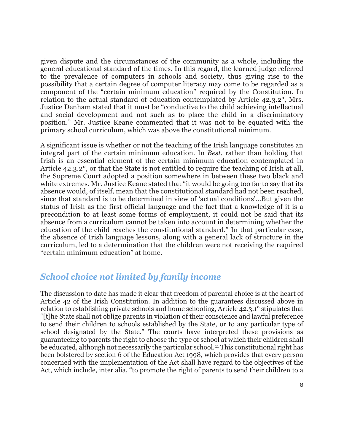given dispute and the circumstances of the community as a whole, including the general educational standard of the times. In this regard, the learned judge referred to the prevalence of computers in schools and society, thus giving rise to the possibility that a certain degree of computer literacy may come to be regarded as a component of the "certain minimum education" required by the Constitution. In relation to the actual standard of education contemplated by Article 42.3.2°, Mrs. Justice Denham stated that it must be "conductive to the child achieving intellectual and social development and not such as to place the child in a discriminatory position." Mr. Justice Keane commented that it was not to be equated with the primary school curriculum, which was above the constitutional minimum.

A significant issue is whether or not the teaching of the Irish language constitutes an integral part of the certain minimum education. In *Best*, rather than holding that Irish is an essential element of the certain minimum education contemplated in Article 42.3.2°, or that the State is not entitled to require the teaching of Irish at all, the Supreme Court adopted a position somewhere in between these two black and white extremes. Mr. Justice Keane stated that "it would be going too far to say that its absence would, of itself, mean that the constitutional standard had not been reached, since that standard is to be determined in view of 'actual conditions'…But given the status of Irish as the first official language and the fact that a knowledge of it is a precondition to at least some forms of employment, it could not be said that its absence from a curriculum cannot be taken into account in determining whether the education of the child reaches the constitutional standard." In that particular case, the absence of Irish language lessons, along with a general lack of structure in the curriculum, led to a determination that the children were not receiving the required "certain minimum education" at home.

#### *School choice not limited by family income*

The discussion to date has made it clear that freedom of parental choice is at the heart of Article 42 of the Irish Constitution. In addition to the guarantees discussed above in relation to establishing private schools and home schooling, Article 42.3.1° stipulates that "[t]he State shall not oblige parents in violation of their conscience and lawful preference to send their children to schools established by the State, or to any particular type of school designated by the State." The courts have interpreted these provisions as guaranteeing to parents the right to choose the type of school at which their children shall be educated, although not necessarily the particular school.[11](#page-16-10) This constitutional right has been bolstered by section 6 of the Education Act 1998, which provides that every person concerned with the implementation of the Act shall have regard to the objectives of the Act, which include, inter alia, "to promote the right of parents to send their children to a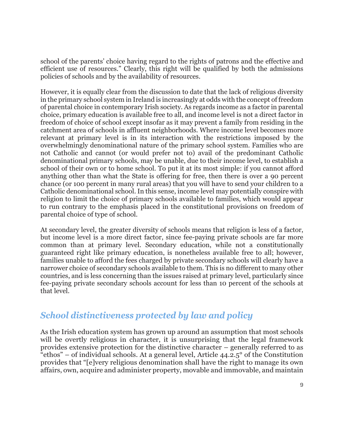school of the parents' choice having regard to the rights of patrons and the effective and efficient use of resources." Clearly, this right will be qualified by both the admissions policies of schools and by the availability of resources.

However, it is equally clear from the discussion to date that the lack of religious diversity in the primary school system in Ireland is increasingly at odds with the concept of freedom of parental choice in contemporary Irish society. As regards income as a factor in parental choice, primary education is available free to all, and income level is not a direct factor in freedom of choice of school except insofar as it may prevent a family from residing in the catchment area of schools in affluent neighborhoods. Where income level becomes more relevant at primary level is in its interaction with the restrictions imposed by the overwhelmingly denominational nature of the primary school system. Families who are not Catholic and cannot (or would prefer not to) avail of the predominant Catholic denominational primary schools, may be unable, due to their income level, to establish a school of their own or to home school. To put it at its most simple: if you cannot afford anything other than what the State is offering for free, then there is over a 90 percent chance (or 100 percent in many rural areas) that you will have to send your children to a Catholic denominational school. In this sense, income level may potentially conspire with religion to limit the choice of primary schools available to families, which would appear to run contrary to the emphasis placed in the constitutional provisions on freedom of parental choice of type of school.

At secondary level, the greater diversity of schools means that religion is less of a factor, but income level is a more direct factor, since fee-paying private schools are far more common than at primary level. Secondary education, while not a constitutionally guaranteed right like primary education, is nonetheless available free to all; however, families unable to afford the fees charged by private secondary schools will clearly have a narrower choice of secondary schools available to them. This is no different to many other countries, and is less concerning than the issues raised at primary level, particularly since fee-paying private secondary schools account for less than 10 percent of the schools at that level.

# *School distinctiveness protected by law and policy*

As the Irish education system has grown up around an assumption that most schools will be overtly religious in character, it is unsurprising that the legal framework provides extensive protection for the distinctive character – generally referred to as "ethos" – of individual schools. At a general level, Article 44.2.5° of the Constitution provides that "[e]very religious denomination shall have the right to manage its own affairs, own, acquire and administer property, movable and immovable, and maintain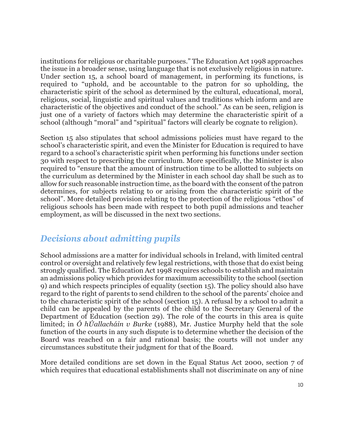institutions for religious or charitable purposes." The Education Act 1998 approaches the issue in a broader sense, using language that is not exclusively religious in nature. Under section 15, a school board of management, in performing its functions, is required to "uphold, and be accountable to the patron for so upholding, the characteristic spirit of the school as determined by the cultural, educational, moral, religious, social, linguistic and spiritual values and traditions which inform and are characteristic of the objectives and conduct of the school." As can be seen, religion is just one of a variety of factors which may determine the characteristic spirit of a school (although "moral" and "spiritual" factors will clearly be cognate to religion).

Section 15 also stipulates that school admissions policies must have regard to the school's characteristic spirit, and even the Minister for Education is required to have regard to a school's characteristic spirit when performing his functions under section 30 with respect to prescribing the curriculum. More specifically, the Minister is also required to "ensure that the amount of instruction time to be allotted to subjects on the curriculum as determined by the Minister in each school day shall be such as to allow for such reasonable instruction time, as the board with the consent of the patron determines, for subjects relating to or arising from the characteristic spirit of the school". More detailed provision relating to the protection of the religious "ethos" of religious schools has been made with respect to both pupil admissions and teacher employment, as will be discussed in the next two sections.

# *Decisions about admitting pupils*

School admissions are a matter for individual schools in Ireland, with limited central control or oversight and relatively few legal restrictions, with those that do exist being strongly qualified. The Education Act 1998 requires schools to establish and maintain an admissions policy which provides for maximum accessibility to the school (section 9) and which respects principles of equality (section 15). The policy should also have regard to the right of parents to send children to the school of the parents' choice and to the characteristic spirit of the school (section 15). A refusal by a school to admit a child can be appealed by the parents of the child to the Secretary General of the Department of Education (section 29). The role of the courts in this area is quite limited; in *Ó hÚallacháin v Burke* (1988), Mr. Justice Murphy held that the sole function of the courts in any such dispute is to determine whether the decision of the Board was reached on a fair and rational basis; the courts will not under any circumstances substitute their judgment for that of the Board.

More detailed conditions are set down in the Equal Status Act 2000, section 7 of which requires that educational establishments shall not discriminate on any of nine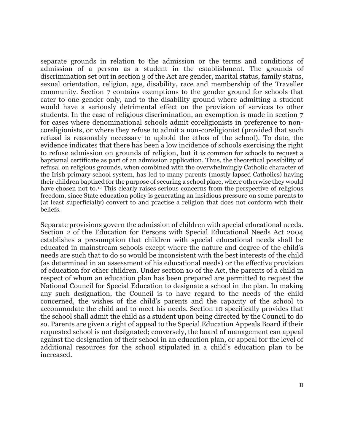separate grounds in relation to the admission or the terms and conditions of admission of a person as a student in the establishment. The grounds of discrimination set out in section 3 of the Act are gender, marital status, family status, sexual orientation, religion, age, disability, race and membership of the Traveller community. Section 7 contains exemptions to the gender ground for schools that cater to one gender only, and to the disability ground where admitting a student would have a seriously detrimental effect on the provision of services to other students. In the case of religious discrimination, an exemption is made in section 7 for cases where denominational schools admit coreligionists in preference to noncoreligionists, or where they refuse to admit a non-coreligionist (provided that such refusal is reasonably necessary to uphold the ethos of the school). To date, the evidence indicates that there has been a low incidence of schools exercising the right to refuse admission on grounds of religion, but it is common for schools to request a baptismal certificate as part of an admission application. Thus, the theoretical possibility of refusal on religious grounds, when combined with the overwhelmingly Catholic character of the Irish primary school system, has led to many parents (mostly lapsed Catholics) having their children baptized for the purpose of securing a school place, where otherwise they would have chosen not to.<sup>[12](#page-16-11)</sup> This clearly raises serious concerns from the perspective of religious freedom, since State education policy is generating an insidious pressure on some parents to (at least superficially) convert to and practise a religion that does not conform with their beliefs.

Separate provisions govern the admission of children with special educational needs. Section 2 of the Education for Persons with Special Educational Needs Act 2004 establishes a presumption that children with special educational needs shall be educated in mainstream schools except where the nature and degree of the child's needs are such that to do so would be inconsistent with the best interests of the child (as determined in an assessment of his educational needs) or the effective provision of education for other children. Under section 10 of the Act, the parents of a child in respect of whom an education plan has been prepared are permitted to request the National Council for Special Education to designate a school in the plan. In making any such designation, the Council is to have regard to the needs of the child concerned, the wishes of the child's parents and the capacity of the school to accommodate the child and to meet his needs. Section 10 specifically provides that the school shall admit the child as a student upon being directed by the Council to do so. Parents are given a right of appeal to the Special Education Appeals Board if their requested school is not designated; conversely, the board of management can appeal against the designation of their school in an education plan, or appeal for the level of additional resources for the school stipulated in a child's education plan to be increased.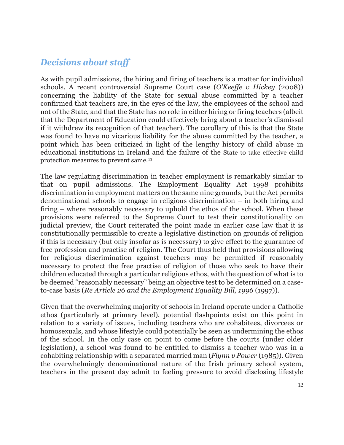### *Decisions about staff*

As with pupil admissions, the hiring and firing of teachers is a matter for individual schools. A recent controversial Supreme Court case (*O'Keeffe v Hickey* (2008)) concerning the liability of the State for sexual abuse committed by a teacher confirmed that teachers are, in the eyes of the law, the employees of the school and not of the State, and that the State has no role in either hiring or firing teachers (albeit that the Department of Education could effectively bring about a teacher's dismissal if it withdrew its recognition of that teacher). The corollary of this is that the State was found to have no vicarious liability for the abuse committed by the teacher, a point which has been criticized in light of the lengthy history of child abuse in educational institutions in Ireland and the failure of the State to take effective child protection measures to prevent same.[13](#page-17-0)

The law regulating discrimination in teacher employment is remarkably similar to that on pupil admissions. The Employment Equality Act 1998 prohibits discrimination in employment matters on the same nine grounds, but the Act permits denominational schools to engage in religious discrimination – in both hiring and firing – where reasonably necessary to uphold the ethos of the school. When these provisions were referred to the Supreme Court to test their constitutionality on judicial preview, the Court reiterated the point made in earlier case law that it is constitutionally permissible to create a legislative distinction on grounds of religion if this is necessary (but only insofar as is necessary) to give effect to the guarantee of free profession and practise of religion. The Court thus held that provisions allowing for religious discrimination against teachers may be permitted if reasonably necessary to protect the free practise of religion of those who seek to have their children educated through a particular religious ethos, with the question of what is to be deemed "reasonably necessary" being an objective test to be determined on a caseto-case basis (*Re Article 26 and the Employment Equality Bill, 1996* (1997)).

Given that the overwhelming majority of schools in Ireland operate under a Catholic ethos (particularly at primary level), potential flashpoints exist on this point in relation to a variety of issues, including teachers who are cohabitees, divorcees or homosexuals, and whose lifestyle could potentially be seen as undermining the ethos of the school. In the only case on point to come before the courts (under older legislation), a school was found to be entitled to dismiss a teacher who was in a cohabiting relationship with a separated married man (*Flynn v Power* (1985)). Given the overwhelmingly denominational nature of the Irish primary school system, teachers in the present day admit to feeling pressure to avoid disclosing lifestyle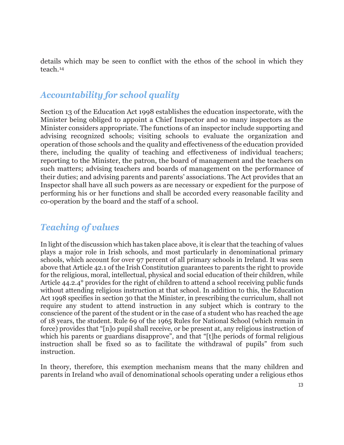details which may be seen to conflict with the ethos of the school in which they teach.[14](#page-17-1)

# *Accountability for school quality*

Section 13 of the Education Act 1998 establishes the education inspectorate, with the Minister being obliged to appoint a Chief Inspector and so many inspectors as the Minister considers appropriate. The functions of an inspector include supporting and advising recognized schools; visiting schools to evaluate the organization and operation of those schools and the quality and effectiveness of the education provided there, including the quality of teaching and effectiveness of individual teachers; reporting to the Minister, the patron, the board of management and the teachers on such matters; advising teachers and boards of management on the performance of their duties; and advising parents and parents' associations. The Act provides that an Inspector shall have all such powers as are necessary or expedient for the purpose of performing his or her functions and shall be accorded every reasonable facility and co-operation by the board and the staff of a school.

# *Teaching of values*

In light of the discussion which has taken place above, it is clear that the teaching of values plays a major role in Irish schools, and most particularly in denominational primary schools, which account for over 97 percent of all primary schools in Ireland. It was seen above that Article 42.1 of the Irish Constitution guarantees to parents the right to provide for the religious, moral, intellectual, physical and social education of their children, while Article 44.2.4° provides for the right of children to attend a school receiving public funds without attending religious instruction at that school. In addition to this, the Education Act 1998 specifies in section 30 that the Minister, in prescribing the curriculum, shall not require any student to attend instruction in any subject which is contrary to the conscience of the parent of the student or in the case of a student who has reached the age of 18 years, the student. Rule 69 of the 1965 Rules for National School (which remain in force) provides that "[n]o pupil shall receive, or be present at, any religious instruction of which his parents or guardians disapprove", and that "[t] he periods of formal religious instruction shall be fixed so as to facilitate the withdrawal of pupils" from such instruction.

In theory, therefore, this exemption mechanism means that the many children and parents in Ireland who avail of denominational schools operating under a religious ethos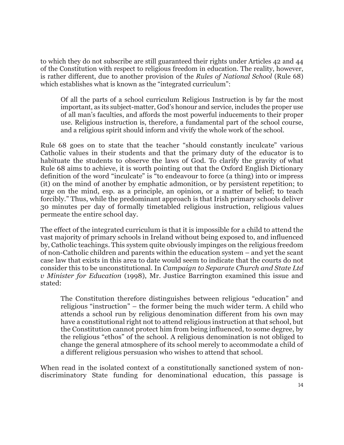to which they do not subscribe are still guaranteed their rights under Articles 42 and 44 of the Constitution with respect to religious freedom in education. The reality, however, is rather different, due to another provision of the *Rules of National School* (Rule 68) which establishes what is known as the "integrated curriculum":

Of all the parts of a school curriculum Religious Instruction is by far the most important, as its subject-matter, God's honour and service, includes the proper use of all man's faculties, and affords the most powerful inducements to their proper use. Religious instruction is, therefore, a fundamental part of the school course, and a religious spirit should inform and vivify the whole work of the school.

Rule 68 goes on to state that the teacher "should constantly inculcate" various Catholic values in their students and that the primary duty of the educator is to habituate the students to observe the laws of God. To clarify the gravity of what Rule 68 aims to achieve, it is worth pointing out that the Oxford English Dictionary definition of the word "inculcate" is "to endeavour to force (a thing) into or impress (it) on the mind of another by emphatic admonition, or by persistent repetition; to urge on the mind, esp. as a principle, an opinion, or a matter of belief; to teach forcibly." Thus, while the predominant approach is that Irish primary schools deliver 30 minutes per day of formally timetabled religious instruction, religious values permeate the entire school day.

The effect of the integrated curriculum is that it is impossible for a child to attend the vast majority of primary schools in Ireland without being exposed to, and influenced by, Catholic teachings. This system quite obviously impinges on the religious freedom of non-Catholic children and parents within the education system – and yet the scant case law that exists in this area to date would seem to indicate that the courts do not consider this to be unconstitutional. In *Campaign to Separate Church and State Ltd v Minister for Education* (1998), Mr. Justice Barrington examined this issue and stated:

The Constitution therefore distinguishes between religious "education" and religious "instruction" – the former being the much wider term. A child who attends a school run by religious denomination different from his own may have a constitutional right not to attend religious instruction at that school, but the Constitution cannot protect him from being influenced, to some degree, by the religious "ethos" of the school. A religious denomination is not obliged to change the general atmosphere of its school merely to accommodate a child of a different religious persuasion who wishes to attend that school.

When read in the isolated context of a constitutionally sanctioned system of nondiscriminatory State funding for denominational education, this passage is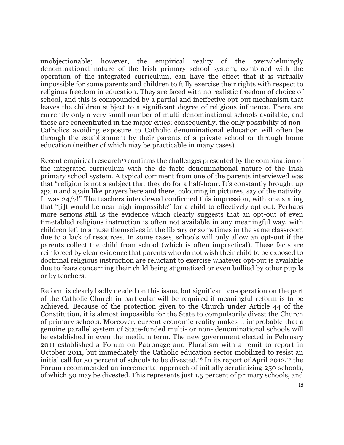unobjectionable; however, the empirical reality of the overwhelmingly denominational nature of the Irish primary school system, combined with the operation of the integrated curriculum, can have the effect that it is virtually impossible for some parents and children to fully exercise their rights with respect to religious freedom in education. They are faced with no realistic freedom of choice of school, and this is compounded by a partial and ineffective opt-out mechanism that leaves the children subject to a significant degree of religious influence. There are currently only a very small number of multi-denominational schools available, and these are concentrated in the major cities; consequently, the only possibility of non-Catholics avoiding exposure to Catholic denominational education will often be through the establishment by their parents of a private school or through home education (neither of which may be practicable in many cases).

Recent empirical research<sup>[15](#page-17-2)</sup> confirms the challenges presented by the combination of the integrated curriculum with the de facto denominational nature of the Irish primary school system. A typical comment from one of the parents interviewed was that "religion is not a subject that they do for a half-hour. It's constantly brought up again and again like prayers here and there, colouring in pictures, say of the nativity. It was 24/7!" The teachers interviewed confirmed this impression, with one stating that "[i]t would be near nigh impossible" for a child to effectively opt out. Perhaps more serious still is the evidence which clearly suggests that an opt-out of even timetabled religious instruction is often not available in any meaningful way, with children left to amuse themselves in the library or sometimes in the same classroom due to a lack of resources. In some cases, schools will only allow an opt-out if the parents collect the child from school (which is often impractical). These facts are reinforced by clear evidence that parents who do not wish their child to be exposed to doctrinal religious instruction are reluctant to exercise whatever opt-out is available due to fears concerning their child being stigmatized or even bullied by other pupils or by teachers.

Reform is clearly badly needed on this issue, but significant co-operation on the part of the Catholic Church in particular will be required if meaningful reform is to be achieved. Because of the protection given to the Church under Article 44 of the Constitution, it is almost impossible for the State to compulsorily divest the Church of primary schools. Moreover, current economic reality makes it improbable that a genuine parallel system of State-funded multi- or non- denominational schools will be established in even the medium term. The new government elected in February 2011 established a Forum on Patronage and Pluralism with a remit to report in October 2011, but immediately the Catholic education sector mobilized to resist an initial call for 50 percent of schools to be divested.[16](#page-17-3) In its report of April 2012,[17](#page-17-4) the Forum recommended an incremental approach of initially scrutinizing 250 schools, of which 50 may be divested. This represents just 1.5 percent of primary schools, and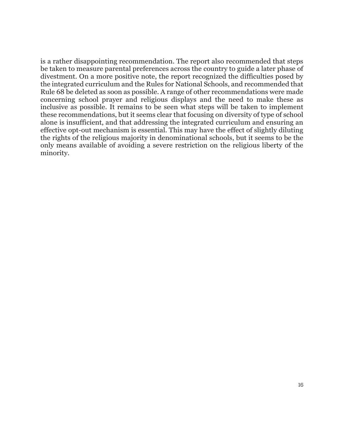is a rather disappointing recommendation. The report also recommended that steps be taken to measure parental preferences across the country to guide a later phase of divestment. On a more positive note, the report recognized the difficulties posed by the integrated curriculum and the Rules for National Schools, and recommended that Rule 68 be deleted as soon as possible. A range of other recommendations were made concerning school prayer and religious displays and the need to make these as inclusive as possible. It remains to be seen what steps will be taken to implement these recommendations, but it seems clear that focusing on diversity of type of school alone is insufficient, and that addressing the integrated curriculum and ensuring an effective opt-out mechanism is essential. This may have the effect of slightly diluting the rights of the religious majority in denominational schools, but it seems to be the only means available of avoiding a severe restriction on the religious liberty of the minority.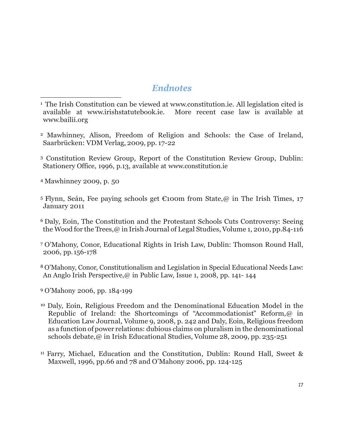#### *Endnotes*

- <span id="page-16-1"></span><sup>2</sup> Mawhinney, Alison, Freedom of Religion and Schools: the Case of Ireland, Saarbrücken: VDM Verlag, 2009, pp. 17-22
- <span id="page-16-2"></span><sup>3</sup> Constitution Review Group, Report of the Constitution Review Group, Dublin: Stationery Office, 1996, p.13, available at [www.constitution.ie](http://www.constitution.ie/)
- <span id="page-16-3"></span><sup>4</sup> Mawhinney 2009, p. 50

 $\overline{a}$ 

- <span id="page-16-4"></span><sup>5</sup> Flynn, Seán, Fee paying schools get €100m from State, @ in The Irish Times, 17 January 2011
- <span id="page-16-5"></span><sup>6</sup> Daly, Eoin, The Constitution and the Protestant Schools Cuts Controversy: Seeing the Wood for the Trees, @ in Irish Journal of Legal Studies, Volume 1, 2010, pp.84-116
- <span id="page-16-6"></span><sup>7</sup> O'Mahony, Conor, Educational Rights in Irish Law, Dublin: Thomson Round Hall, 2006, pp. 156-178
- <span id="page-16-7"></span><sup>8</sup> O'Mahony, Conor, Constitutionalism and Legislation in Special Educational Needs Law: An Anglo Irish Perspective,@ in Public Law, Issue 1, 2008, pp. 141- 144
- <span id="page-16-8"></span><sup>9</sup> O'Mahony 2006, pp. 184-199
- <span id="page-16-9"></span><sup>10</sup> Daly, Eoin, Religious Freedom and the Denominational Education Model in the Republic of Ireland: the Shortcomings of "Accommodationist" Reform,@ in Education Law Journal, Volume 9, 2008, p. 242 and Daly, Eoin, Religious freedom as a function of power relations: dubious claims on pluralism in the denominational schools debate,@ in Irish Educational Studies, Volume 28, 2009, pp. 235-251
- <span id="page-16-11"></span><span id="page-16-10"></span><sup>11</sup> Farry, Michael, Education and the Constitution, Dublin: Round Hall, Sweet & Maxwell, 1996, pp.66 and 78 and O'Mahony 2006, pp. 124-125

<span id="page-16-0"></span><sup>&</sup>lt;sup>1</sup> The Irish Constitution can be viewed at [www.constitution.ie.](http://www.constitution.ie/) All legislation cited is available at www.irishstatutebook.ie. More recent case law is available at More recent case law is available at [www.bailii.org](http://www.bailii.org/)